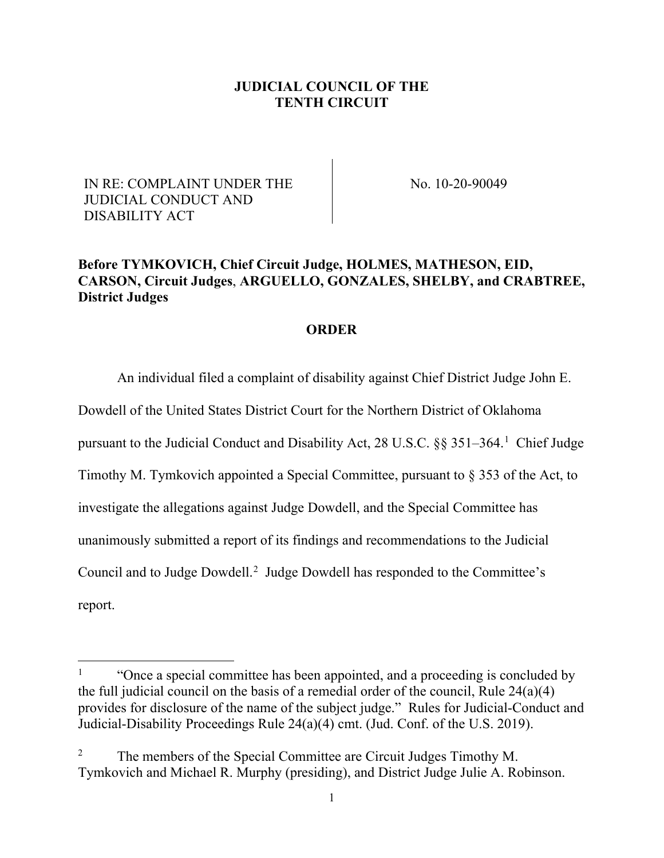#### **JUDICIAL COUNCIL OF THE TENTH CIRCUIT**

### IN RE: COMPLAINT UNDER THE JUDICIAL CONDUCT AND DISABILITY ACT

No. 10-20-90049

# **Before TYMKOVICH, Chief Circuit Judge, HOLMES, MATHESON, EID, CARSON, Circuit Judges**, **ARGUELLO, GONZALES, SHELBY, and CRABTREE, District Judges**

#### **ORDER**

An individual filed a complaint of disability against Chief District Judge John E.

Dowdell of the United States District Court for the Northern District of Oklahoma

pursuant to the Judicial Conduct and Disability Act, 28 U.S.C. §§ 35[1](#page-0-0)-364.<sup>1</sup> Chief Judge

Timothy M. Tymkovich appointed a Special Committee, pursuant to § 353 of the Act, to

investigate the allegations against Judge Dowdell, and the Special Committee has

unanimously submitted a report of its findings and recommendations to the Judicial

Council and to Judge Dowdell.<sup>[2](#page-0-1)</sup> Judge Dowdell has responded to the Committee's

report.

<span id="page-0-0"></span><sup>1</sup> "Once a special committee has been appointed, and a proceeding is concluded by the full judicial council on the basis of a remedial order of the council, Rule 24(a)(4) provides for disclosure of the name of the subject judge." Rules for Judicial-Conduct and Judicial-Disability Proceedings Rule 24(a)(4) cmt. (Jud. Conf. of the U.S. 2019).

<span id="page-0-1"></span><sup>&</sup>lt;sup>2</sup> The members of the Special Committee are Circuit Judges Timothy M. Tymkovich and Michael R. Murphy (presiding), and District Judge Julie A. Robinson.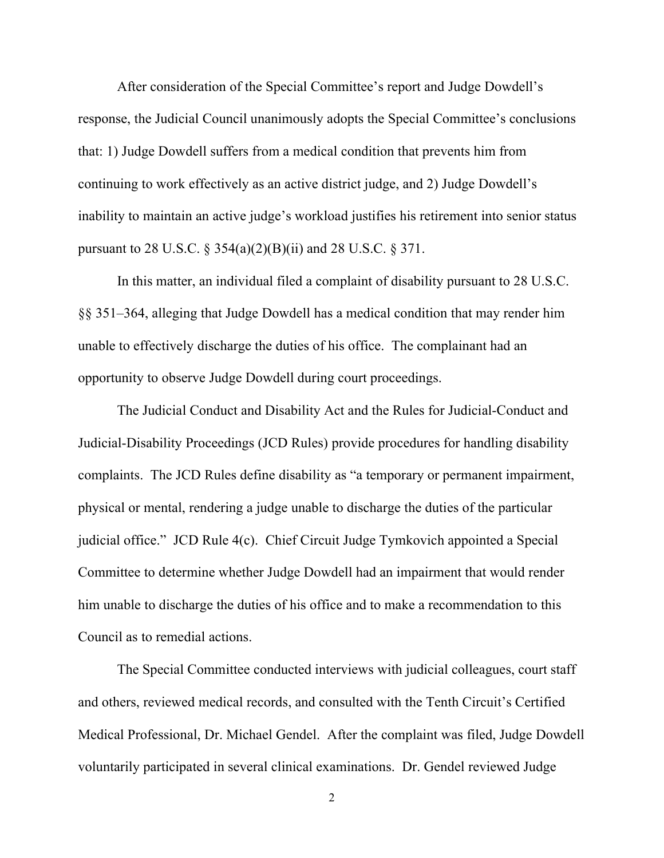After consideration of the Special Committee's report and Judge Dowdell's response, the Judicial Council unanimously adopts the Special Committee's conclusions that: 1) Judge Dowdell suffers from a medical condition that prevents him from continuing to work effectively as an active district judge, and 2) Judge Dowdell's inability to maintain an active judge's workload justifies his retirement into senior status pursuant to 28 U.S.C.  $\S 354(a)(2)(B)(ii)$  and 28 U.S.C.  $\S 371$ .

In this matter, an individual filed a complaint of disability pursuant to 28 U.S.C. §§ 351–364, alleging that Judge Dowdell has a medical condition that may render him unable to effectively discharge the duties of his office. The complainant had an opportunity to observe Judge Dowdell during court proceedings.

The Judicial Conduct and Disability Act and the Rules for Judicial-Conduct and Judicial-Disability Proceedings (JCD Rules) provide procedures for handling disability complaints. The JCD Rules define disability as "a temporary or permanent impairment, physical or mental, rendering a judge unable to discharge the duties of the particular judicial office." JCD Rule 4(c). Chief Circuit Judge Tymkovich appointed a Special Committee to determine whether Judge Dowdell had an impairment that would render him unable to discharge the duties of his office and to make a recommendation to this Council as to remedial actions.

The Special Committee conducted interviews with judicial colleagues, court staff and others, reviewed medical records, and consulted with the Tenth Circuit's Certified Medical Professional, Dr. Michael Gendel. After the complaint was filed, Judge Dowdell voluntarily participated in several clinical examinations. Dr. Gendel reviewed Judge

2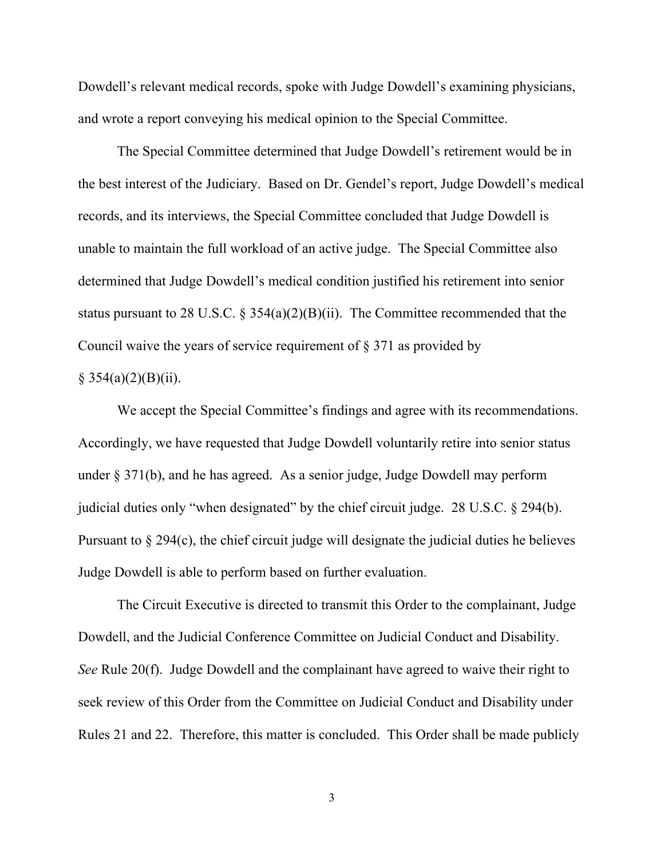Dowdell's relevant medical records, spoke with Judge Dowdell's examining physicians, and wrote a report conveying his medical opinion to the Special Committee.

The Special Committee determined that Judge Dowdell's retirement would be in the best interest of the Judiciary. Based on Dr. Gendel's report, Judge Dowdell's medical records, and its interviews, the Special Committee concluded that Judge Dowdell is unable to maintain the full workload of an active judge. The Special Committee also determined that Judge Dowdell's medical condition justified his retirement into senior status pursuant to 28 U.S.C.  $\S 354(a)(2)(B)(ii)$ . The Committee recommended that the Council waive the years of service requirement of § 371 as provided by

# $§ 354(a)(2)(B)(ii).$

We accept the Special Committee's findings and agree with its recommendations. Accordingly, we have requested that Judge Dowdell voluntarily retire into senior status under § 371(b), and he has agreed. As a senior judge, Judge Dowdell may perform judicial duties only "when designated" by the chief circuit judge. 28 U.S.C. § 294(b). Pursuant to § 294(c), the chief circuit judge will designate the judicial duties he believes Judge Dowdell is able to perform based on further evaluation.

The Circuit Executive is directed to transmit this Order to the complainant, Judge Dowdell, and the Judicial Conference Committee on Judicial Conduct and Disability. *See* Rule 20(f). Judge Dowdell and the complainant have agreed to waive their right to seek review of this Order from the Committee on Judicial Conduct and Disability under Rules 21 and 22. Therefore, this matter is concluded. This Order shall be made publicly